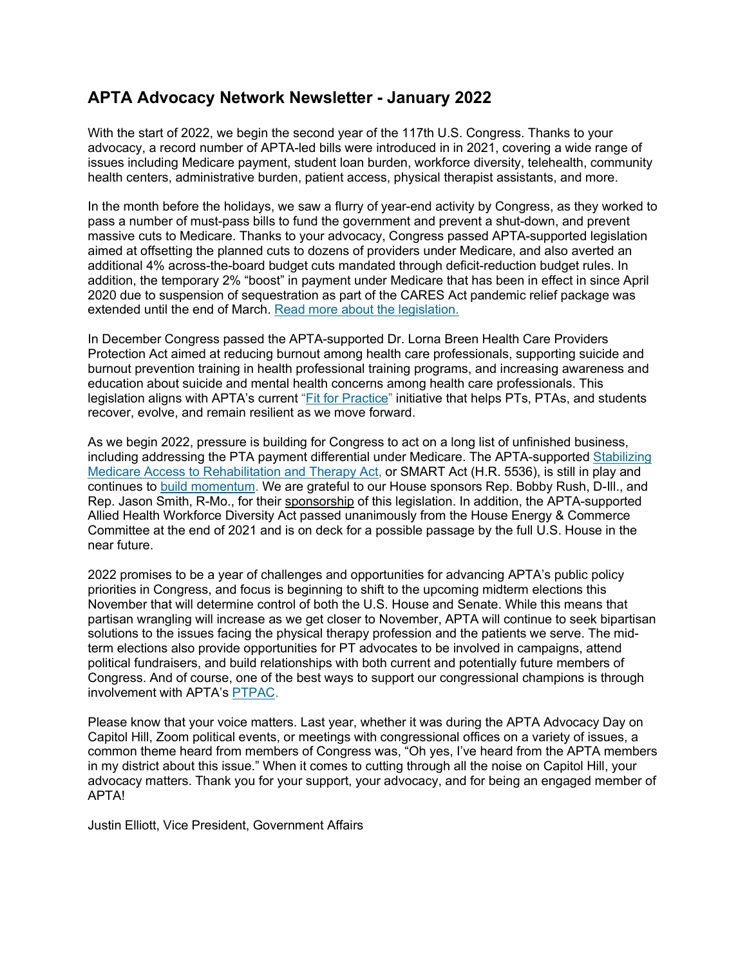# **APTA Advocacy Network Newsletter - January 2022**

With the start of 2022, we begin the second year of the 117th U.S. Congress. Thanks to your advocacy, a record number of APTA-led bills were introduced in in 2021, covering a wide range of issues including Medicare payment, student loan burden, workforce diversity, telehealth, community health centers, administrative burden, patient access, physical therapist assistants, and more.

In the month before the holidays, we saw a flurry of year-end activity by Congress, as they worked to pass a number of must-pass bills to fund the government and prevent a shut-down, and prevent massive cuts to Medicare. Thanks to your advocacy, Congress passed APTA-supported legislation aimed at offsetting the planned cuts to dozens of providers under Medicare, and also averted an additional 4% across-the-board budget cuts mandated through deficit-reduction budget rules. In addition, the temporary 2% "boost" in payment under Medicare that has been in effect in since April 2020 due to suspension of sequestration as part of the CARES Act pandemic relief package was extended until the end of March. [Read more about the legislation.](http://apta.linksto.net/ls/click?upn=YDZOT0aq0HYJViqPWjwDDoAhz3UFtVgQRHFlOM0yUJ0Oqy5zSxYHGAKRmCSsjOHbnQMV6cHwA4JC-2BB8mO-2FcRbXihC2sbLGzryEVWbTFeTgM-3DDUSf_-2FHw5O04jxrrQilx53WKrURzR-2Fsj9Kjg3J1p05qPpzR5sxe3vUCtVbDrrItARKppL3GA-2B0RO8o9RRzaRsmTVSYTisG5LaOvzvMpjs89yBt0LIq5FYd2-2FS6vI9YgSntFzbuNCEiORGnX6586-2BwyIe22jK-2Fl94KuTLILdA8VDX0lI0SF0xujXxBhSiiJ4BFyyQT-2FcC7DBeI5w7um0lPjsr7abfQk4wExnKHMKDcV4A1OFGFiCN4-2FTLndagl7lcp9LFDQtoXVqod3dYRzRn6l5XSFJe0i0OzV-2F-2FZDgCea7Ld7h2r-2FLRfQkI5VTMZw3Se9B9spJmxk90hzu0SmibIE4LVNQ-3D-3D)

In December Congress passed the APTA-supported Dr. Lorna Breen Health Care Providers Protection Act aimed at reducing burnout among health care professionals, supporting suicide and burnout prevention training in health professional training programs, and increasing awareness and education about suicide and mental health concerns among health care professionals. This legislation aligns with APTA's current ["Fit for Practice"](http://apta.linksto.net/ls/click?upn=YDZOT0aq0HYJViqPWjwDDuxtnA17U98R-2BpRr4z5ETq-2BL3NoFp16vtmFhxUYnkNMgcQRw_-2FHw5O04jxrrQilx53WKrURzR-2Fsj9Kjg3J1p05qPpzR5sxe3vUCtVbDrrItARKppL3GA-2B0RO8o9RRzaRsmTVSYTisG5LaOvzvMpjs89yBt0LIq5FYd2-2FS6vI9YgSntFzbuNCEiORGnX6586-2BwyIe22jK-2Fl94KuTLILdA8VDX0lI0SF0xujXxBhSiiJ4BFyyQT9dREgLYh54CsawyBkXceIevQSUpX3H8e9Sqz1xbqZNw8dM0fQMA7siTJszoa-2F42vCzosDCg6XaP7F1M9DSwjV0-2BcehU4qriLKr26GHQFYUu932y5nXTA9-2FPxxwmem77V3XnVwRE31E6QqJcomxmB0A-3D-3D) initiative that helps PTs, PTAs, and students recover, evolve, and remain resilient as we move forward.

As we begin 2022, pressure is building for Congress to act on a long list of unfinished business, including addressing the PTA payment differential under Medicare. The APTA-supported [Stabilizing](http://apta.linksto.net/ls/click?upn=Eb2RRmmMDQ1LZNUAjYMieA23JGNpEvRXvNGCwWsRnf-2FccvsuEOHKDTXNttqkM11NB0NTLH2NLHAl5r6LliveSPP9PBIjJlZWHqCNVJkAJSbtu7Swq1Qi1gBeKJQJh5bhEzgEVDrbEK4ULGg6OAKVUq44pEao0PjsQ1vFWnQEBXNuiulKWv3Q1g-2FBmYvaJZxariPY-2FYn3PYOL-2BpuM7YYXsA-3D-3DyJmB_-2FHw5O04jxrrQilx53WKrURzR-2Fsj9Kjg3J1p05qPpzR5sxe3vUCtVbDrrItARKppL3GA-2B0RO8o9RRzaRsmTVSYTisG5LaOvzvMpjs89yBt0LIq5FYd2-2FS6vI9YgSntFzbuNCEiORGnX6586-2BwyIe22jK-2Fl94KuTLILdA8VDX0lI0SF0xujXxBhSiiJ4BFyyQTQuKDY2VeqxIb9n-2BAT85O-2BGPUd3ltkulx-2FQ8WYky2sVIIseIlaLejwSf64T1-2BTxBDorOF2BlwRQZCf42xTcL6LB2fjgaLXZF2GJGZAmy9WfcyvTD9bjrhykVUYZ9xJAnrnTiupHx4zO2hSke4qQ8Z5g-3D-3D)  [Medicare Access to Rehabilitation and Therapy Act,](http://apta.linksto.net/ls/click?upn=Eb2RRmmMDQ1LZNUAjYMieA23JGNpEvRXvNGCwWsRnf-2FccvsuEOHKDTXNttqkM11NB0NTLH2NLHAl5r6LliveSPP9PBIjJlZWHqCNVJkAJSbtu7Swq1Qi1gBeKJQJh5bhEzgEVDrbEK4ULGg6OAKVUq44pEao0PjsQ1vFWnQEBXNuiulKWv3Q1g-2FBmYvaJZxariPY-2FYn3PYOL-2BpuM7YYXsA-3D-3DyJmB_-2FHw5O04jxrrQilx53WKrURzR-2Fsj9Kjg3J1p05qPpzR5sxe3vUCtVbDrrItARKppL3GA-2B0RO8o9RRzaRsmTVSYTisG5LaOvzvMpjs89yBt0LIq5FYd2-2FS6vI9YgSntFzbuNCEiORGnX6586-2BwyIe22jK-2Fl94KuTLILdA8VDX0lI0SF0xujXxBhSiiJ4BFyyQTQuKDY2VeqxIb9n-2BAT85O-2BGPUd3ltkulx-2FQ8WYky2sVIIseIlaLejwSf64T1-2BTxBDorOF2BlwRQZCf42xTcL6LB2fjgaLXZF2GJGZAmy9WfcyvTD9bjrhykVUYZ9xJAnrnTiupHx4zO2hSke4qQ8Z5g-3D-3D) or SMART Act (H.R. 5536), is still in play and continues to [build momentum.](http://apta.linksto.net/ls/click?upn=YDZOT0aq0HYJViqPWjwDDoAhz3UFtVgQRHFlOM0yUJ204txd5vBulphXJiPD-2BCCIDWCnYZZanhN5dmM0M-2F1OUxOuxr0M3O15W4TO2xPX7jU-3DZ0qB_-2FHw5O04jxrrQilx53WKrURzR-2Fsj9Kjg3J1p05qPpzR5sxe3vUCtVbDrrItARKppL3GA-2B0RO8o9RRzaRsmTVSYTisG5LaOvzvMpjs89yBt0LIq5FYd2-2FS6vI9YgSntFzbuNCEiORGnX6586-2BwyIe22jK-2Fl94KuTLILdA8VDX0lI0SF0xujXxBhSiiJ4BFyyQTXyZ24LRWcib2r-2BAY7b6sQNp8YkwrRo9xtHC5UuBf26bJBOGLKk1G5MGeqrZiLBWJwnEYFSLPkIU9x7iEBHcRdcn0Y8dxjgjGPfB70Dv6-2BqJxVMAdpfYFVX1SxEXj5407EZqZGhPFihL9HHtzcN50cw-3D-3D) We are grateful to our House sponsors Rep. Bobby Rush, D-Ill., and Rep. Jason Smith, R-Mo., for their [sponsorship](http://apta.linksto.net/ls/click?upn=YDZOT0aq0HYJViqPWjwDDncMBva-2FFBwouMFzxwJBJIC2a8mRwBhh36AWdSRwHCA10phz2vg6QDIZCzct-2Bbz9ZNF2-2FPeLIjFXx9b9O-2FQItbLW5aa-2FVycKs8v6VdV1f91fYrez8k4Qv8QMnSckAexhWsiWQkTJFC8J06Mavu-2BbusreV-2BtslPcvKhiZYpvPGd6ro9GN_-2FHw5O04jxrrQilx53WKrURzR-2Fsj9Kjg3J1p05qPpzR5sxe3vUCtVbDrrItARKppL3GA-2B0RO8o9RRzaRsmTVSYTisG5LaOvzvMpjs89yBt0LIq5FYd2-2FS6vI9YgSntFzbuNCEiORGnX6586-2BwyIe22jK-2Fl94KuTLILdA8VDX0lI0SF0xujXxBhSiiJ4BFyyQT-2Bb5C50NISSf1vyT-2BNOgepEuSS-2BtRQW-2FkaGf4ZnuN6vJ24UWtMgXqXbqauHM5QE0RYPk-2FrE-2FOSst6HBiPfrznOcxrp6QGspLYpLOsqnFuij99xsAdaCVFifdlrzV16R5mdKRJeKzzteOsK-2B4nwbuP0A-3D-3D) of this legislation. In addition, the APTA-supported Allied Health Workforce Diversity Act passed unanimously from the House Energy & Commerce Committee at the end of 2021 and is on deck for a possible passage by the full U.S. House in the near future.

2022 promises to be a year of challenges and opportunities for advancing APTA's public policy priorities in Congress, and focus is beginning to shift to the upcoming midterm elections this November that will determine control of both the U.S. House and Senate. While this means that partisan wrangling will increase as we get closer to November, APTA will continue to seek bipartisan solutions to the issues facing the physical therapy profession and the patients we serve. The midterm elections also provide opportunities for PT advocates to be involved in campaigns, attend political fundraisers, and build relationships with both current and potentially future members of Congress. And of course, one of the best ways to support our congressional champions is through involvement with APTA's [PTPAC.](http://apta.linksto.net/ls/click?upn=YDZOT0aq0HYJViqPWjwDDvQkqOUPnFwDYgA3A1n1aJ8uwhSrobrhbvkz25jztFVZREaV_-2FHw5O04jxrrQilx53WKrURzR-2Fsj9Kjg3J1p05qPpzR5sxe3vUCtVbDrrItARKppL3GA-2B0RO8o9RRzaRsmTVSYTisG5LaOvzvMpjs89yBt0LIq5FYd2-2FS6vI9YgSntFzbuNCEiORGnX6586-2BwyIe22jK-2Fl94KuTLILdA8VDX0lI0SF0xujXxBhSiiJ4BFyyQTF5VFolNipaJDBFx8gw3KWpPYeJo-2FgEBguP-2FjMYC4zEZNdN7qdlARHFWSWQiCSlvwIX0IzR1tXjFW5f2ekgS3yzjWUCZB0Fx7VjDYblni7ZWZfKq73PHQ-2B8I9w6OUovME7MwVHYTdnpBfz-2BLtB9MGkQ-3D-3D)

Please know that your voice matters. Last year, whether it was during the APTA Advocacy Day on Capitol Hill, Zoom political events, or meetings with congressional offices on a variety of issues, a common theme heard from members of Congress was, "Oh yes, I've heard from the APTA members in my district about this issue." When it comes to cutting through all the noise on Capitol Hill, your advocacy matters. Thank you for your support, your advocacy, and for being an engaged member of APTA!

Justin Elliott, Vice President, Government Affairs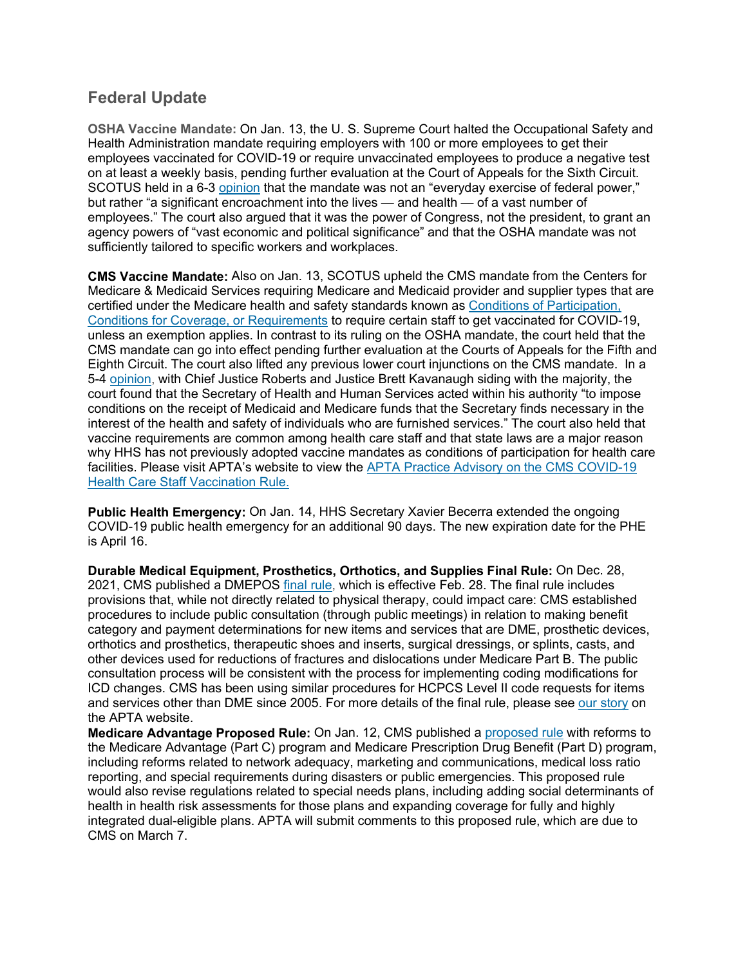## **Federal Update**

**OSHA Vaccine Mandate:** On Jan. 13, the U. S. Supreme Court halted the Occupational Safety and Health Administration mandate requiring employers with 100 or more employees to get their employees vaccinated for COVID-19 or require unvaccinated employees to produce a negative test on at least a weekly basis, pending further evaluation at the Court of Appeals for the Sixth Circuit. SCOTUS held in a 6-3 [opinion](http://apta.linksto.net/ls/click?upn=YDZOT0aq0HYJViqPWjwDDttnNEw2rq0DD8WpjDr29PrPZ4BDmQ9mmCiNzwxx0Qtw98-2B4fPwOYsrDZUvsjDnH7B66Q4fgj0gYuAMBMe-2FCJhg-3Dd31U_-2FHw5O04jxrrQilx53WKrURzR-2Fsj9Kjg3J1p05qPpzR5sxe3vUCtVbDrrItARKppL3GA-2B0RO8o9RRzaRsmTVSYTisG5LaOvzvMpjs89yBt0LIq5FYd2-2FS6vI9YgSntFzbuNCEiORGnX6586-2BwyIe22jK-2Fl94KuTLILdA8VDX0lI0SF0xujXxBhSiiJ4BFyyQTfHY8clVwFyC5-2BUktVk-2BhnhQYxWkhA1x4ZGI7lut35xvabf0AE-2FsRHAOaj8C1O9hWalsKA5gUO4Wc4PdOKYoqyJikgc-2F3RGUrzkaN-2FATR3LmgOscSZ0jcbJpoSjwPkYlCOWCeuE3khoJb8lik2Rk-2BhA-3D-3D) that the mandate was not an "everyday exercise of federal power," but rather "a significant encroachment into the lives — and health — of a vast number of employees." The court also argued that it was the power of Congress, not the president, to grant an agency powers of "vast economic and political significance" and that the OSHA mandate was not sufficiently tailored to specific workers and workplaces.

**CMS Vaccine Mandate:** Also on Jan. 13, SCOTUS upheld the CMS mandate from the Centers for Medicare & Medicaid Services requiring Medicare and Medicaid provider and supplier types that are certified under the Medicare health and safety standards known as [Conditions of Participation,](http://apta.linksto.net/ls/click?upn=YDZOT0aq0HYJViqPWjwDDscQUoAg1GHeJZhhCq3IeFqC2DfPa8NB4-2FtajdYnv0Y65LGuOZLgWpK4JoKEAl3nZ-2Bw2voIfQnlzweZOHC9xk-2FI-3D0uNA_-2FHw5O04jxrrQilx53WKrURzR-2Fsj9Kjg3J1p05qPpzR5sxe3vUCtVbDrrItARKppL3GA-2B0RO8o9RRzaRsmTVSYTisG5LaOvzvMpjs89yBt0LIq5FYd2-2FS6vI9YgSntFzbuNCEiORGnX6586-2BwyIe22jK-2Fl94KuTLILdA8VDX0lI0SF0xujXxBhSiiJ4BFyyQTbK66lG4iV2KnWJExuocT6UCWPaByAro6k-2BjJm0tC6RsWgG8-2Bo560jb7kiURp3MsWgqrramNRolXCHmjUVT3aALEeFnoQ-2FtaYTpBVD9scZQzmOz4OYlAmUGqYNNhEi9qE1xHSwDXxAUwls53KA9AZpg-3D-3D)  [Conditions for Coverage, or Requirements](http://apta.linksto.net/ls/click?upn=YDZOT0aq0HYJViqPWjwDDscQUoAg1GHeJZhhCq3IeFqC2DfPa8NB4-2FtajdYnv0Y65LGuOZLgWpK4JoKEAl3nZ-2Bw2voIfQnlzweZOHC9xk-2FI-3D0uNA_-2FHw5O04jxrrQilx53WKrURzR-2Fsj9Kjg3J1p05qPpzR5sxe3vUCtVbDrrItARKppL3GA-2B0RO8o9RRzaRsmTVSYTisG5LaOvzvMpjs89yBt0LIq5FYd2-2FS6vI9YgSntFzbuNCEiORGnX6586-2BwyIe22jK-2Fl94KuTLILdA8VDX0lI0SF0xujXxBhSiiJ4BFyyQTbK66lG4iV2KnWJExuocT6UCWPaByAro6k-2BjJm0tC6RsWgG8-2Bo560jb7kiURp3MsWgqrramNRolXCHmjUVT3aALEeFnoQ-2FtaYTpBVD9scZQzmOz4OYlAmUGqYNNhEi9qE1xHSwDXxAUwls53KA9AZpg-3D-3D) to require certain staff to get vaccinated for COVID-19, unless an exemption applies. In contrast to its ruling on the OSHA mandate, the court held that the CMS mandate can go into effect pending further evaluation at the Courts of Appeals for the Fifth and Eighth Circuit. The court also lifted any previous lower court injunctions on the CMS mandate. In a 5-4 [opinion,](http://apta.linksto.net/ls/click?upn=YDZOT0aq0HYJViqPWjwDDttnNEw2rq0DD8WpjDr29PrPZ4BDmQ9mmCiNzwxx0QtwurxByyOJZ4Hl7Nl4btpWKoW7fLL1FRe0bqvU1jnwe-2Bw-3DHk0U_-2FHw5O04jxrrQilx53WKrURzR-2Fsj9Kjg3J1p05qPpzR5sxe3vUCtVbDrrItARKppL3GA-2B0RO8o9RRzaRsmTVSYTisG5LaOvzvMpjs89yBt0LIq5FYd2-2FS6vI9YgSntFzbuNCEiORGnX6586-2BwyIe22jK-2Fl94KuTLILdA8VDX0lI0SF0xujXxBhSiiJ4BFyyQTqC-2FQzTxNa4xq8ZNjmfy3QKqU6BmFaDYH56PqGnFneLqT-2BJf7nkN81M8jzA4M3qvxWVMO8-2FgpQQvVPS8iycO6kU8zcrxUKmkvSk7q1uxdfi6-2FOrMI0f6ARLEutJFBIVBktUtriABF0jtnvrTWg9DBBw-3D-3D) with Chief Justice Roberts and Justice Brett Kavanaugh siding with the majority, the court found that the Secretary of Health and Human Services acted within his authority "to impose conditions on the receipt of Medicaid and Medicare funds that the Secretary finds necessary in the interest of the health and safety of individuals who are furnished services." The court also held that vaccine requirements are common among health care staff and that state laws are a major reason why HHS has not previously adopted vaccine mandates as conditions of participation for health care facilities. Please visit APTA's website to view the [APTA Practice Advisory on the CMS COVID-19](http://apta.linksto.net/ls/click?upn=YDZOT0aq0HYJViqPWjwDDm-2BlgznmQmJ6RbIqZzmN1wvD2jMpjT-2F1Wa5lOK0jVQGz46wjZz3gUFTmqKgsJuCzI76QF4JnCbev2tdxmTlyRLwLLaIHd4qdYWqkrNmEEV8XSdaexCXZN6WNVOExB4pVng-3D-3D9-mh_-2FHw5O04jxrrQilx53WKrURzR-2Fsj9Kjg3J1p05qPpzR5sxe3vUCtVbDrrItARKppL3GA-2B0RO8o9RRzaRsmTVSYTisG5LaOvzvMpjs89yBt0LIq5FYd2-2FS6vI9YgSntFzbuNCEiORGnX6586-2BwyIe22jK-2Fl94KuTLILdA8VDX0lI0SF0xujXxBhSiiJ4BFyyQTj09DCuwyecF7bpzKfcJmhNwfy62ODsR9Xodw400UKtFHTe8NkcTOZ-2B9p-2F2FkFGbel9jCElqbsUtcdgw1-2FexILahLqZG2M4hRA-2BSE0IppKOzvqkd8hjYQQEIYsZzdm2si7B04tiSrvok8HMUVd0JHcQ-3D-3D)  [Health Care Staff Vaccination Rule.](http://apta.linksto.net/ls/click?upn=YDZOT0aq0HYJViqPWjwDDm-2BlgznmQmJ6RbIqZzmN1wvD2jMpjT-2F1Wa5lOK0jVQGz46wjZz3gUFTmqKgsJuCzI76QF4JnCbev2tdxmTlyRLwLLaIHd4qdYWqkrNmEEV8XSdaexCXZN6WNVOExB4pVng-3D-3D9-mh_-2FHw5O04jxrrQilx53WKrURzR-2Fsj9Kjg3J1p05qPpzR5sxe3vUCtVbDrrItARKppL3GA-2B0RO8o9RRzaRsmTVSYTisG5LaOvzvMpjs89yBt0LIq5FYd2-2FS6vI9YgSntFzbuNCEiORGnX6586-2BwyIe22jK-2Fl94KuTLILdA8VDX0lI0SF0xujXxBhSiiJ4BFyyQTj09DCuwyecF7bpzKfcJmhNwfy62ODsR9Xodw400UKtFHTe8NkcTOZ-2B9p-2F2FkFGbel9jCElqbsUtcdgw1-2FexILahLqZG2M4hRA-2BSE0IppKOzvqkd8hjYQQEIYsZzdm2si7B04tiSrvok8HMUVd0JHcQ-3D-3D)

**Public Health Emergency:** On Jan. 14, HHS Secretary Xavier Becerra extended the ongoing COVID-19 public health emergency for an additional 90 days. The new expiration date for the PHE is April 16.

**Durable Medical Equipment, Prosthetics, Orthotics, and Supplies Final Rule:** On Dec. 28, 2021, CMS published a DMEPOS [final rule,](http://apta.linksto.net/ls/click?upn=YDZOT0aq0HYJViqPWjwDDragW-2FK-2FoXHALnen8u8PUL3tqoALgjdeH1C9VbKxsEF7INhw7jz0AGS-2FiNXrS0rEXaqen2foUALN0MxPtYLnhP8-3DQuF5_-2FHw5O04jxrrQilx53WKrURzR-2Fsj9Kjg3J1p05qPpzR5sxe3vUCtVbDrrItARKppL3GA-2B0RO8o9RRzaRsmTVSYTisG5LaOvzvMpjs89yBt0LIq5FYd2-2FS6vI9YgSntFzbuNCEiORGnX6586-2BwyIe22jK-2Fl94KuTLILdA8VDX0lI0SF0xujXxBhSiiJ4BFyyQThbUdt5-2BguyTiniGZobKHsRwxO1adeTVCFnn7GCQz7J-2Fgf8wyNPHtoQldc2CudLIMHhqNZOUoOy6-2FGAsIm-2B0EaMYw4-2F3e3EGJ9h-2FHH928KDY2MO-2F1Sr12wNHw-2FOSPLzvxoMM9BxbXocaup418Mmkhdg-3D-3D) which is effective Feb. 28. The final rule includes provisions that, while not directly related to physical therapy, could impact care: CMS established procedures to include public consultation (through public meetings) in relation to making benefit category and payment determinations for new items and services that are DME, prosthetic devices, orthotics and prosthetics, therapeutic shoes and inserts, surgical dressings, or splints, casts, and other devices used for reductions of fractures and dislocations under Medicare Part B. The public consultation process will be consistent with the process for implementing coding modifications for ICD changes. CMS has been using similar procedures for HCPCS Level II code requests for items and services other than DME since 2005. For more details of the final rule, please see [our story](http://apta.linksto.net/ls/click?upn=YDZOT0aq0HYJViqPWjwDDpgypJTJcaMLmsp12h0CwvaghV4WsVC0b2CWR2lZHfPQdMlBle0Kkrtlv56EijOgiZIHNnOSSxXckA1w6at9D5A-3D9YVS_-2FHw5O04jxrrQilx53WKrURzR-2Fsj9Kjg3J1p05qPpzR5sxe3vUCtVbDrrItARKppL3GA-2B0RO8o9RRzaRsmTVSYTisG5LaOvzvMpjs89yBt0LIq5FYd2-2FS6vI9YgSntFzbuNCEiORGnX6586-2BwyIe22jK-2Fl94KuTLILdA8VDX0lI0SF0xujXxBhSiiJ4BFyyQTEa-2B0SNgZ-2BcdI7jpx3YLEV7vIt9bZoS6MEoBwjut4RoKquugloBuskMtX4tZebHZJ-2FWGBAFt6gJv3M1-2FHnVz7-2FDiafnDzlX0uQnIskDsaBQn5m8cyl40R1T5K53tNafzD7hRt3rmYlNj-2Bhgt2iBmB2A-3D-3D) on the APTA website.

**Medicare Advantage Proposed Rule:** On Jan. 12, CMS published a [proposed rule](http://apta.linksto.net/ls/click?upn=YDZOT0aq0HYJViqPWjwDDragW-2FK-2FoXHALnen8u8PUL3tqoALgjdeH1C9VbKxsEF7ItdZ23sHDL5wPEiDVncMAWNEzP7W1vpkAYe5iChtaW0-3DXGnw_-2FHw5O04jxrrQilx53WKrURzR-2Fsj9Kjg3J1p05qPpzR5sxe3vUCtVbDrrItARKppL3GA-2B0RO8o9RRzaRsmTVSYTisG5LaOvzvMpjs89yBt0LIq5FYd2-2FS6vI9YgSntFzbuNCEiORGnX6586-2BwyIe22jK-2Fl94KuTLILdA8VDX0lI0SF0xujXxBhSiiJ4BFyyQTkA80fw7sk8O-2BFUoF2O426B4Vp579UP9pro16K6RxX2YwOyIkAmig11mPK4S7hTUqFdxb-2F-2FzKBcNMGTaMD7PI9HAlK7Vp0IRgFGuwztHcnMnYgtR7IxvhPc2101bfRKYDZCPia7vyc2td3EFb1KLXNg-3D-3D) with reforms to the Medicare Advantage (Part C) program and Medicare Prescription Drug Benefit (Part D) program, including reforms related to network adequacy, marketing and communications, medical loss ratio reporting, and special requirements during disasters or public emergencies. This proposed rule would also revise regulations related to special needs plans, including adding social determinants of health in health risk assessments for those plans and expanding coverage for fully and highly integrated dual-eligible plans. APTA will submit comments to this proposed rule, which are due to CMS on March 7.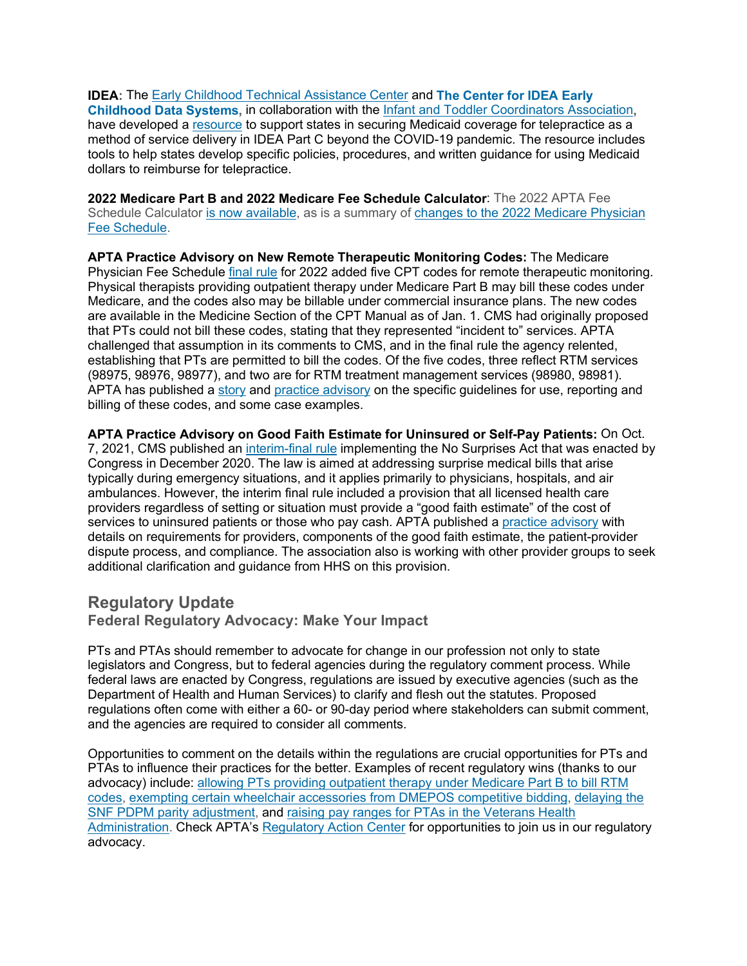**IDEA:** The [Early Childhood Technical Assistance Center](http://apta.linksto.net/ls/click?upn=YDZOT0aq0HYJViqPWjwDDhGyD9ShfvH9DjMEKI-2BropJREpCnB6A1zxXnpcBuDzPj71LZicWjaVcfJbjpvwCZZffYONXd6LLVLzZucyILApeP4ED0Idavd00hSxklZUgObiJZhU2sRkBXYrlBiRxi0A-3D-3DfYZt_-2FHw5O04jxrrQilx53WKrURzR-2Fsj9Kjg3J1p05qPpzR5sxe3vUCtVbDrrItARKppL3GA-2B0RO8o9RRzaRsmTVSYTisG5LaOvzvMpjs89yBt0LIq5FYd2-2FS6vI9YgSntFzbuNCEiORGnX6586-2BwyIe22jK-2Fl94KuTLILdA8VDX0lI0SF0xujXxBhSiiJ4BFyyQTh-2BxAmCPvezFg28BdirnynoBDba2ZKVbyhosyclMv8p2970BE5hKTKWwhEJNQq2haOUSErRAiBkM1VxwwS1wc1AsGcBzRvO2VKirh-2B-2FLE3zDv5KRoNI4gSz2X7bg5Z8YlN5yfEIrLa-2BCr6vWTqNmk7Q-3D-3D) and **[The Center for IDEA Early](http://apta.linksto.net/ls/click?upn=YDZOT0aq0HYJViqPWjwDDi-2F1L7XmClgGTt8CJPe9fR2rYLHwDrN2Zlw1LwCzuk7qY8KmZC0iDCEBYBBCgglAMmwRzF4SqY4eAM3c6YYKBNXtbBcV8MIukLdLzV3mU6B0mbma_-2FHw5O04jxrrQilx53WKrURzR-2Fsj9Kjg3J1p05qPpzR5sxe3vUCtVbDrrItARKppL3GA-2B0RO8o9RRzaRsmTVSYTisG5LaOvzvMpjs89yBt0LIq5FYd2-2FS6vI9YgSntFzbuNCEiORGnX6586-2BwyIe22jK-2Fl94KuTLILdA8VDX0lI0SF0xujXxBhSiiJ4BFyyQTCIDWHTDDSmUGvWgyM5rug6wrvMViA6ZXf-2F-2FsUAkFzv3vV4hCp46otfKZFHF1h51PzaEMTIWGYbqOnyGiVpIICeJa2J0mwAwUfYgOwaWIZbMvbOjOmDkMfIsyS20CKlpbHTyyXTqdFoGwVv26waFx9w-3D-3D) [Childhood Data Systems,](http://apta.linksto.net/ls/click?upn=YDZOT0aq0HYJViqPWjwDDi-2F1L7XmClgGTt8CJPe9fR2rYLHwDrN2Zlw1LwCzuk7qY8KmZC0iDCEBYBBCgglAMmwRzF4SqY4eAM3c6YYKBNXtbBcV8MIukLdLzV3mU6B0mbma_-2FHw5O04jxrrQilx53WKrURzR-2Fsj9Kjg3J1p05qPpzR5sxe3vUCtVbDrrItARKppL3GA-2B0RO8o9RRzaRsmTVSYTisG5LaOvzvMpjs89yBt0LIq5FYd2-2FS6vI9YgSntFzbuNCEiORGnX6586-2BwyIe22jK-2Fl94KuTLILdA8VDX0lI0SF0xujXxBhSiiJ4BFyyQTCIDWHTDDSmUGvWgyM5rug6wrvMViA6ZXf-2F-2FsUAkFzv3vV4hCp46otfKZFHF1h51PzaEMTIWGYbqOnyGiVpIICeJa2J0mwAwUfYgOwaWIZbMvbOjOmDkMfIsyS20CKlpbHTyyXTqdFoGwVv26waFx9w-3D-3D)** in collaboration with the [Infant and Toddler Coordinators Association](http://apta.linksto.net/ls/click?upn=YDZOT0aq0HYJViqPWjwDDi-2F1L7XmClgGTt8CJPe9fR2jcFeY8QvPs4B7CkiStbCbr03Ouq552KVD4HzrckH-2BT2oYrsBD-2Fp7rtvOZtPoR4fXYBS1MA81sIVzH0k9o3EiFgfp8_-2FHw5O04jxrrQilx53WKrURzR-2Fsj9Kjg3J1p05qPpzR5sxe3vUCtVbDrrItARKppL3GA-2B0RO8o9RRzaRsmTVSYTisG5LaOvzvMpjs89yBt0LIq5FYd2-2FS6vI9YgSntFzbuNCEiORGnX6586-2BwyIe22jK-2Fl94KuTLILdA8VDX0lI0SF0xujXxBhSiiJ4BFyyQTZEPLqYllT-2Bi8zgeRoZoC9ogZG3YllUtljDb-2BoSHM7LANXv5MfZOPIHWxFlnAPBDN0wwAh9VafWozELVTUZgTmx6sWoqsJ3tn6XA9IrzDppwa6murNC39V9WI5zxZku0XzL8Bu2qbxw8iS8rMRKlOag-3D-3D)**,** have developed a [resource](http://apta.linksto.net/ls/click?upn=YDZOT0aq0HYJViqPWjwDDhGyD9ShfvH9DjMEKI-2BropLBHqFICt6bB1bXp1VD9OZBynEWeyTLKE7BOtwCaB4-2FPD-2BJmdDdKMZmIOvIsicOq4YevXFNBmZGc6xSD3i4zPZG4uexAhl3Xhxs08AEIQiALv6mUEEGHdpCMInc5z-2BBGO6-2BJovuq-2B8U67ciWNOwxZEZnvi-2F8Hq8xZsSIzZc1Czf3A-3D-3D6zRu_-2FHw5O04jxrrQilx53WKrURzR-2Fsj9Kjg3J1p05qPpzR5sxe3vUCtVbDrrItARKppL3GA-2B0RO8o9RRzaRsmTVSYTisG5LaOvzvMpjs89yBt0LIq5FYd2-2FS6vI9YgSntFzbuNCEiORGnX6586-2BwyIe22jK-2Fl94KuTLILdA8VDX0lI0SF0xujXxBhSiiJ4BFyyQTbX7USCKYMH1BV2YkcSZXjy8oMZ6msQfJRVigjSNScTWoH-2FNR1XK2y8FIO5jVHkkowNXVHJTExpXMW9QWo-2FVwVph2njbzb-2Byf3cdhbd40IRQoneXGGTyasTWgtDTD760ga1qiOWTt57BuFhXLIVE0sg-3D-3D) to support states in securing Medicaid coverage for telepractice as a method of service delivery in IDEA Part C beyond the COVID-19 pandemic. The resource includes tools to help states develop specific policies, procedures, and written guidance for using Medicaid dollars to reimburse for telepractice.

**2022 Medicare Part B and 2022 Medicare Fee Schedule Calculator**: The 2022 APTA Fee Schedule Calculator [is now available,](http://apta.linksto.net/ls/click?upn=YDZOT0aq0HYJViqPWjwDDoFhqYhaocx8Hz4sPeGHqXW3pBoep9CnIwxvs-2FixH0LvgdUrSU5qQjTG536-2BEBSDByM-2FHP810pRfihKHEAxFtdLMlfr-2FPVg7ytgmlA8WTuRpuQ-2B6EOamakhlWpqHpKTPtg-3D-3Dq6OT_-2FHw5O04jxrrQilx53WKrURzR-2Fsj9Kjg3J1p05qPpzR5sxe3vUCtVbDrrItARKppL3GA-2B0RO8o9RRzaRsmTVSYTisG5LaOvzvMpjs89yBt0LIq5FYd2-2FS6vI9YgSntFzbuNCEiORGnX6586-2BwyIe22jK-2Fl94KuTLILdA8VDX0lI0SF0xujXxBhSiiJ4BFyyQTEbXy849N-2FxZNZi1KOGwZixpOvIIVXLvQrwDXFPYUTZUpBC7uiJZJdSPQlkon4VIuJ1-2B2V1JqlBssGbce2E9Ou-2BHBT9vITsZSI4NX3ahRNW8-2BCv2v7AHAjZpOzew1NPthGRMBJk8rMr2ESPGXf7jpiQ-3D-3D) as is a summary of [changes to the 2022 Medicare Physician](http://apta.linksto.net/ls/click?upn=YDZOT0aq0HYJViqPWjwDDpgypJTJcaMLmsp12h0Cwva2y7iSRhiJ-2BJZatFgPLYtb-2FptxX-2Bgmnjp1mFnks6Ai8639FY3ANung2FMfh8EkvCI-3D1qbk_-2FHw5O04jxrrQilx53WKrURzR-2Fsj9Kjg3J1p05qPpzR5sxe3vUCtVbDrrItARKppL3GA-2B0RO8o9RRzaRsmTVSYTisG5LaOvzvMpjs89yBt0LIq5FYd2-2FS6vI9YgSntFzbuNCEiORGnX6586-2BwyIe22jK-2Fl94KuTLILdA8VDX0lI0SF0xujXxBhSiiJ4BFyyQTe-2BXBNoEtuxmjoUSoGkObYID6dupazl3gAqmjMDV5XlCDkhWGBrgpJaqHwIaGt9Yf6bfLnT44gn6IJmQsvr9y43IxD-2B3EL4oxzrLVM-2B444ONDBGQxEvl8kRqhwnFtjuH0mtCEIEB1JLpYVCNRreuK8g-3D-3D)  [Fee Schedule.](http://apta.linksto.net/ls/click?upn=YDZOT0aq0HYJViqPWjwDDpgypJTJcaMLmsp12h0Cwva2y7iSRhiJ-2BJZatFgPLYtb-2FptxX-2Bgmnjp1mFnks6Ai8639FY3ANung2FMfh8EkvCI-3D1qbk_-2FHw5O04jxrrQilx53WKrURzR-2Fsj9Kjg3J1p05qPpzR5sxe3vUCtVbDrrItARKppL3GA-2B0RO8o9RRzaRsmTVSYTisG5LaOvzvMpjs89yBt0LIq5FYd2-2FS6vI9YgSntFzbuNCEiORGnX6586-2BwyIe22jK-2Fl94KuTLILdA8VDX0lI0SF0xujXxBhSiiJ4BFyyQTe-2BXBNoEtuxmjoUSoGkObYID6dupazl3gAqmjMDV5XlCDkhWGBrgpJaqHwIaGt9Yf6bfLnT44gn6IJmQsvr9y43IxD-2B3EL4oxzrLVM-2B444ONDBGQxEvl8kRqhwnFtjuH0mtCEIEB1JLpYVCNRreuK8g-3D-3D)

**APTA Practice Advisory on New Remote Therapeutic Monitoring Codes:** The Medicare Physician Fee Schedule [final rule](http://apta.linksto.net/ls/click?upn=YDZOT0aq0HYJViqPWjwDDragW-2FK-2FoXHALnen8u8PUL3tqoALgjdeH1C9VbKxsEF7u-2FflxXHUVgccctoPqArLnCVlKQAF97gzuXHOaM5YsPU-3DNeba_-2FHw5O04jxrrQilx53WKrURzR-2Fsj9Kjg3J1p05qPpzR5sxe3vUCtVbDrrItARKppL3GA-2B0RO8o9RRzaRsmTVSYTisG5LaOvzvMpjs89yBt0LIq5FYd2-2FS6vI9YgSntFzbuNCEiORGnX6586-2BwyIe22jK-2Fl94KuTLILdA8VDX0lI0SF0xujXxBhSiiJ4BFyyQTVbmAjPgA6HrlBN1YiIZS8m9bMnW13ceXznJjXi87Ri60VtCLQckQXXqrciuGrCDyz5nOZKna-2BNgUrX-2Fd5KKRjJRAv3VXvoOf2xn2oYOhTqf1JGq0Ok-2FzaWutvPhiOSTCnD-2BhRJx4G7iOgyF7-2Bd3KAg-3D-3D) for 2022 added five CPT codes for remote therapeutic monitoring. Physical therapists providing outpatient therapy under Medicare Part B may bill these codes under Medicare, and the codes also may be billable under commercial insurance plans. The new codes are available in the Medicine Section of the CPT Manual as of Jan. 1. CMS had originally proposed that PTs could not bill these codes, stating that they represented "incident to" services. APTA challenged that assumption in its comments to CMS, and in the final rule the agency relented, establishing that PTs are permitted to bill the codes. Of the five codes, three reflect RTM services (98975, 98976, 98977), and two are for RTM treatment management services (98980, 98981). APTA has published a [story](http://apta.linksto.net/ls/click?upn=YDZOT0aq0HYJViqPWjwDDoAhz3UFtVgQRHFlOM0yUJ3n71LIa2kjLAnGo-2Fvgv6RfJoKcPqnk3EszITPtPy9PJg-3D-3DMRnG_-2FHw5O04jxrrQilx53WKrURzR-2Fsj9Kjg3J1p05qPpzR5sxe3vUCtVbDrrItARKppL3GA-2B0RO8o9RRzaRsmTVSYTisG5LaOvzvMpjs89yBt0LIq5FYd2-2FS6vI9YgSntFzbuNCEiORGnX6586-2BwyIe22jK-2Fl94KuTLILdA8VDX0lI0SF0xujXxBhSiiJ4BFyyQTefizc9qbQxe0c-2Ff5O0AoAp-2FLGqrysW1QsfxV6Dl2KNBVU042FSSZv0XM2KJ4jSCKp-2BuAWqVmzap1wsn3HrBJURUC5IeNCswtJjrGpzgoQ0AXg5bitq9U6YG8rVxF73rgJx9OdRc-2FBRK5I-2FcSrZNR1Q-3D-3D) and [practice advisory](http://apta.linksto.net/ls/click?upn=YDZOT0aq0HYJViqPWjwDDoFhqYhaocx8Hz4sPeGHqXW3pBoep9CnIwxvs-2FixH0LvgdUrSU5qQjTG536-2BEBSDB-2FcjyUeKPq7xwNfz8OGDVYHQbGkllQYkJ0C08F8Qg5U7QuIj-2B5k7nmxX9AXSVmhFkA-3D-3D45Tv_-2FHw5O04jxrrQilx53WKrURzR-2Fsj9Kjg3J1p05qPpzR5sxe3vUCtVbDrrItARKppL3GA-2B0RO8o9RRzaRsmTVSYTisG5LaOvzvMpjs89yBt0LIq5FYd2-2FS6vI9YgSntFzbuNCEiORGnX6586-2BwyIe22jK-2Fl94KuTLILdA8VDX0lI0SF0xujXxBhSiiJ4BFyyQTmQAuwdyPPqtmChteArPNCdqnOhvm60oiX8FDCEqqdTHHjZcFHDfaX5DdEtHfd49ZNUN1mu5vyVe1TIqMzBxRXQaHucp5IDwJxyw6aZoA2WwPG5AXzUGzXAUVnm0rL3Kgawu9yThYCd2YGxIpxc1FvA-3D-3D) on the specific guidelines for use, reporting and billing of these codes, and some case examples.

**APTA Practice Advisory on Good Faith Estimate for Uninsured or Self-Pay Patients:** On Oct. 7, 2021, CMS published an [interim-final rule](http://apta.linksto.net/ls/click?upn=YDZOT0aq0HYJViqPWjwDDragW-2FK-2FoXHALnen8u8PUL3tqoALgjdeH1C9VbKxsEF7nuoolt01d1rMjGldBOJIct9ZxBOShM38xsDjxuXu964-3DC7EI_-2FHw5O04jxrrQilx53WKrURzR-2Fsj9Kjg3J1p05qPpzR5sxe3vUCtVbDrrItARKppL3GA-2B0RO8o9RRzaRsmTVSYTisG5LaOvzvMpjs89yBt0LIq5FYd2-2FS6vI9YgSntFzbuNCEiORGnX6586-2BwyIe22jK-2Fl94KuTLILdA8VDX0lI0SF0xujXxBhSiiJ4BFyyQTj0Z1fCyR1jhwU-2By9GHz7iUN1v-2FsSBncxMtoOJ2R3QEjorFhgGUArofjBhZRqNJppdnb5F8-2BD78puPKCe8oape2mBUQoMoaIn0vsta6xHYUwMBwe-2Bn2h0CDIj40f6AwgrG8DfFjSiUA6RR9dMlCLx-2BQ-3D-3D) implementing the No Surprises Act that was enacted by Congress in December 2020. The law is aimed at addressing surprise medical bills that arise typically during emergency situations, and it applies primarily to physicians, hospitals, and air ambulances. However, the interim final rule included a provision that all licensed health care providers regardless of setting or situation must provide a "good faith estimate" of the cost of services to uninsured patients or those who pay cash. APTA published a [practice advisory](http://apta.linksto.net/ls/click?upn=YDZOT0aq0HYJViqPWjwDDoFhqYhaocx8Hz4sPeGHqXW3pBoep9CnIwxvs-2FixH0LvRD-2Bphsm-2BIlOUD0QymH3KPQIbo4GkQM3dax8BmHOTd11lOwY2jqP8YyBviHnZ78H-2FbOc5OyWD9NyTdoK7BNpiX7evz2P9cqxEbqK7jHmAHek-3Dhyj0_-2FHw5O04jxrrQilx53WKrURzR-2Fsj9Kjg3J1p05qPpzR5sxe3vUCtVbDrrItARKppL3GA-2B0RO8o9RRzaRsmTVSYTisG5LaOvzvMpjs89yBt0LIq5FYd2-2FS6vI9YgSntFzbuNCEiORGnX6586-2BwyIe22jK-2Fl94KuTLILdA8VDX0lI0SF0xujXxBhSiiJ4BFyyQTIFMYlFcJOQNg-2Bc1S3P5VLnMoixEs2dGA37wrznt66h7RR7xPOAi6pu09aX-2BcX2ZeGrnZ3343xkWh1Jo6VnILLrfk6PzB1zoZdki4koh-2Bzi8aPI8bDCCp3G1VpgUQOchU25gJGdLmf9iiSC1skhvcmw-3D-3D) with details on requirements for providers, components of the good faith estimate, the patient-provider dispute process, and compliance. The association also is working with other provider groups to seek additional clarification and guidance from HHS on this provision.

## **Regulatory Update**

**Federal Regulatory Advocacy: Make Your Impact**

PTs and PTAs should remember to advocate for change in our profession not only to state legislators and Congress, but to federal agencies during the regulatory comment process. While federal laws are enacted by Congress, regulations are issued by executive agencies (such as the Department of Health and Human Services) to clarify and flesh out the statutes. Proposed regulations often come with either a 60- or 90-day period where stakeholders can submit comment, and the agencies are required to consider all comments.

Opportunities to comment on the details within the regulations are crucial opportunities for PTs and PTAs to influence their practices for the better. Examples of recent regulatory wins (thanks to our advocacy) include: [allowing PTs providing outpatient therapy under Medicare Part B to bill RTM](http://apta.linksto.net/ls/click?upn=YDZOT0aq0HYJViqPWjwDDoAhz3UFtVgQRHFlOM0yUJ3n71LIa2kjLAnGo-2Fvgv6RfJoKcPqnk3EszITPtPy9PJg-3D-3DYyzW_-2FHw5O04jxrrQilx53WKrURzR-2Fsj9Kjg3J1p05qPpzR5sxe3vUCtVbDrrItARKppL3GA-2B0RO8o9RRzaRsmTVSYTisG5LaOvzvMpjs89yBt0LIq5FYd2-2FS6vI9YgSntFzbuNCEiORGnX6586-2BwyIe22jK-2Fl94KuTLILdA8VDX0lI0SF0xujXxBhSiiJ4BFyyQTpomYVQjW-2Bc8KpZpQD4NFT7G-2FtNZuz34MYsZUU5eeffNeU7DdbVZvpksydLb3mykkP-2F2ShwVvW8mNNm0DfI6uSgWtqcZgmEJMyu51KmKbCL6ZYfSjuKwSBjmlTQbM62n99masUpNTZjPxI9F-2FUCVDRw-3D-3D)  [codes,](http://apta.linksto.net/ls/click?upn=YDZOT0aq0HYJViqPWjwDDoAhz3UFtVgQRHFlOM0yUJ3n71LIa2kjLAnGo-2Fvgv6RfJoKcPqnk3EszITPtPy9PJg-3D-3DYyzW_-2FHw5O04jxrrQilx53WKrURzR-2Fsj9Kjg3J1p05qPpzR5sxe3vUCtVbDrrItARKppL3GA-2B0RO8o9RRzaRsmTVSYTisG5LaOvzvMpjs89yBt0LIq5FYd2-2FS6vI9YgSntFzbuNCEiORGnX6586-2BwyIe22jK-2Fl94KuTLILdA8VDX0lI0SF0xujXxBhSiiJ4BFyyQTpomYVQjW-2Bc8KpZpQD4NFT7G-2FtNZuz34MYsZUU5eeffNeU7DdbVZvpksydLb3mykkP-2F2ShwVvW8mNNm0DfI6uSgWtqcZgmEJMyu51KmKbCL6ZYfSjuKwSBjmlTQbM62n99masUpNTZjPxI9F-2FUCVDRw-3D-3D) [exempting certain wheelchair accessories from DMEPOS competitive bidding,](http://apta.linksto.net/ls/click?upn=YDZOT0aq0HYJViqPWjwDDpgypJTJcaMLmsp12h0CwvZ-2FtasioKw26A-2Fb1h2QVCN95hJVuTKf6dWcwvFxL-2BYCd5dEqqM4TjUUrCRk07SOvl0-3DpIKs_-2FHw5O04jxrrQilx53WKrURzR-2Fsj9Kjg3J1p05qPpzR5sxe3vUCtVbDrrItARKppL3GA-2B0RO8o9RRzaRsmTVSYTisG5LaOvzvMpjs89yBt0LIq5FYd2-2FS6vI9YgSntFzbuNCEiORGnX6586-2BwyIe22jK-2Fl94KuTLILdA8VDX0lI0SF0xujXxBhSiiJ4BFyyQTyOZ7WVaqIVtlIYOOqFJgwcElJkGBEH3nGJaRawhr7zT-2F-2F-2F8Xx8iFwX-2FOCJNz-2By3g1z9jOL3Phm5jL8i3NVRI694NbtmRlhJpZbGuRbjL-2FHapTD5jy68axU-2FQ2wjDVuDfEgnutRbPfOh6gQU6KRzzSg-3D-3D) [delaying the](http://apta.linksto.net/ls/click?upn=YDZOT0aq0HYJViqPWjwDDpgypJTJcaMLmsp12h0CwvZ-2FtasioKw26A-2Fb1h2QVCN95hJVuTKf6dWcwvFxL-2BYCd5dEqqM4TjUUrCRk07SOvl0-3Dy8GJ_-2FHw5O04jxrrQilx53WKrURzR-2Fsj9Kjg3J1p05qPpzR5sxe3vUCtVbDrrItARKppL3GA-2B0RO8o9RRzaRsmTVSYTisG5LaOvzvMpjs89yBt0LIq5FYd2-2FS6vI9YgSntFzbuNCEiORGnX6586-2BwyIe22jK-2Fl94KuTLILdA8VDX0lI0SF0xujXxBhSiiJ4BFyyQTzyM2q49YZ3kXR6UU-2FejK3eztuHzWmqEOsVSNhJYeH2D-2F-2F3uoA0L-2Fk0tY9Gf-2F-2FDadQpnEnUTqz3sGnOq1VraEoIyAtv3bYeB0L0SuLIV4r-2BZ20eASnixCXSjzFnQn9xTItKuePKJje63a9LThX9QYxw-3D-3D)  [SNF PDPM parity adjustment,](http://apta.linksto.net/ls/click?upn=YDZOT0aq0HYJViqPWjwDDpgypJTJcaMLmsp12h0CwvZ-2FtasioKw26A-2Fb1h2QVCN95hJVuTKf6dWcwvFxL-2BYCd5dEqqM4TjUUrCRk07SOvl0-3Dy8GJ_-2FHw5O04jxrrQilx53WKrURzR-2Fsj9Kjg3J1p05qPpzR5sxe3vUCtVbDrrItARKppL3GA-2B0RO8o9RRzaRsmTVSYTisG5LaOvzvMpjs89yBt0LIq5FYd2-2FS6vI9YgSntFzbuNCEiORGnX6586-2BwyIe22jK-2Fl94KuTLILdA8VDX0lI0SF0xujXxBhSiiJ4BFyyQTzyM2q49YZ3kXR6UU-2FejK3eztuHzWmqEOsVSNhJYeH2D-2F-2F3uoA0L-2Fk0tY9Gf-2F-2FDadQpnEnUTqz3sGnOq1VraEoIyAtv3bYeB0L0SuLIV4r-2BZ20eASnixCXSjzFnQn9xTItKuePKJje63a9LThX9QYxw-3D-3D) and [raising pay ranges for PTAs in the Veterans Health](http://apta.linksto.net/ls/click?upn=YDZOT0aq0HYJViqPWjwDDoAhz3UFtVgQRHFlOM0yUJ3YoD7oJw-2B8xsTxEZ-2Fyzp6r42ShAGfhtu6LSzlaSVeu2g-3D-3D7ljR_-2FHw5O04jxrrQilx53WKrURzR-2Fsj9Kjg3J1p05qPpzR5sxe3vUCtVbDrrItARKppL3GA-2B0RO8o9RRzaRsmTVSYTisG5LaOvzvMpjs89yBt0LIq5FYd2-2FS6vI9YgSntFzbuNCEiORGnX6586-2BwyIe22jK-2Fl94KuTLILdA8VDX0lI0SF0xujXxBhSiiJ4BFyyQTZgr43mO0jt5JGdzSjjG4gDd-2B18OplRoB0WBE7vovTNl07jv0fvq-2FbH5AV-2Bb3qYAim7Ly-2FIBZoVbk9tqWEKsISlxUPDSfbybnQNnExJtfSuioasvwFucTFwV0HXaHlmScBsBhGAiZGZamCZ-2BdNLrl-2FA-3D-3D)  [Administration.](http://apta.linksto.net/ls/click?upn=YDZOT0aq0HYJViqPWjwDDoAhz3UFtVgQRHFlOM0yUJ3YoD7oJw-2B8xsTxEZ-2Fyzp6r42ShAGfhtu6LSzlaSVeu2g-3D-3D7ljR_-2FHw5O04jxrrQilx53WKrURzR-2Fsj9Kjg3J1p05qPpzR5sxe3vUCtVbDrrItARKppL3GA-2B0RO8o9RRzaRsmTVSYTisG5LaOvzvMpjs89yBt0LIq5FYd2-2FS6vI9YgSntFzbuNCEiORGnX6586-2BwyIe22jK-2Fl94KuTLILdA8VDX0lI0SF0xujXxBhSiiJ4BFyyQTZgr43mO0jt5JGdzSjjG4gDd-2B18OplRoB0WBE7vovTNl07jv0fvq-2FbH5AV-2Bb3qYAim7Ly-2FIBZoVbk9tqWEKsISlxUPDSfbybnQNnExJtfSuioasvwFucTFwV0HXaHlmScBsBhGAiZGZamCZ-2BdNLrl-2FA-3D-3D) Check APTA's [Regulatory Action Center](http://apta.linksto.net/ls/click?upn=YDZOT0aq0HYJViqPWjwDDgMa-2BNmp-2FNFVHbICclfXarWqcZFggfXrfYd5BXlTTWUFeT-2FcBitgCaW6enGSjc-2FnEQ-3D-3DSp3q_-2FHw5O04jxrrQilx53WKrURzR-2Fsj9Kjg3J1p05qPpzR5sxe3vUCtVbDrrItARKppL3GA-2B0RO8o9RRzaRsmTVSYTisG5LaOvzvMpjs89yBt0LIq5FYd2-2FS6vI9YgSntFzbuNCEiORGnX6586-2BwyIe22jK-2Fl94KuTLILdA8VDX0lI0SF0xujXxBhSiiJ4BFyyQTz1Zs9lvg4gryqs-2B42f2rMzNefotDWKujtLOru9x6Sx2q-2B9DvjD1tiR10S6Z5NS1RkOkxN0M7ULW70MwxGYDkI8FixhTb8kmtN3-2F9MKWsz6YYSMA-2FORGuejx-2BgtpWOgIYOSVfgbHpOFwxEHjb-2F7MtbQ-3D-3D) for opportunities to join us in our regulatory advocacy.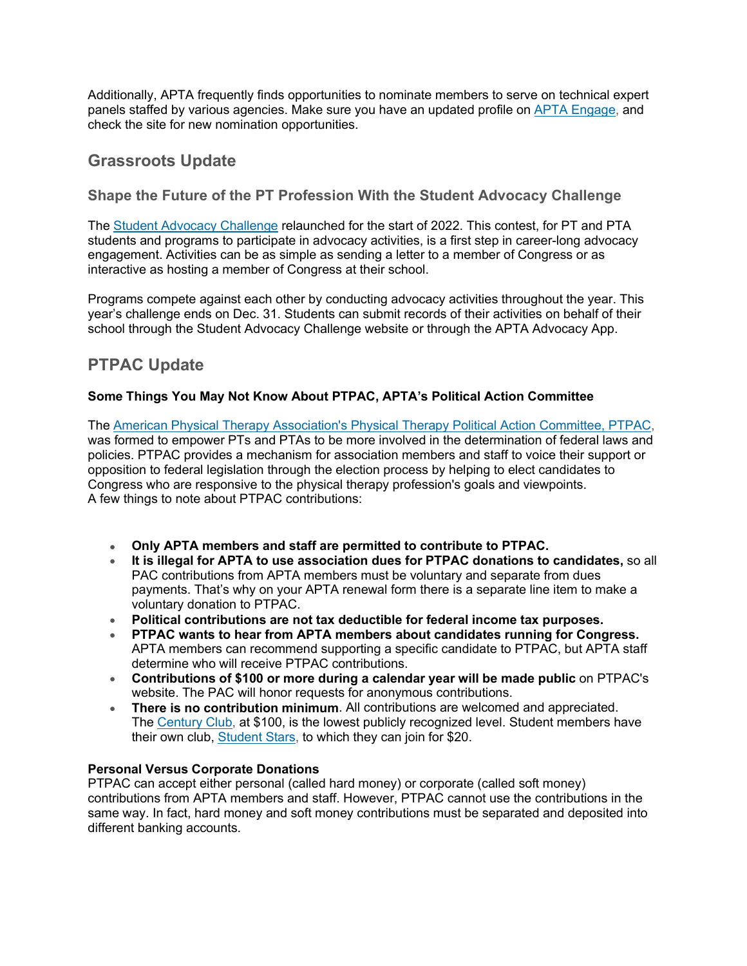Additionally, APTA frequently finds opportunities to nominate members to serve on technical expert panels staffed by various agencies. Make sure you have an updated profile on [APTA Engage,](http://apta.linksto.net/ls/click?upn=YDZOT0aq0HYJViqPWjwDDlsMZAvbr9inHU4t3s-2FHU3MbjuBDbBMl637NrYuJb6YXqCvf_-2FHw5O04jxrrQilx53WKrURzR-2Fsj9Kjg3J1p05qPpzR5sxe3vUCtVbDrrItARKppL3GA-2B0RO8o9RRzaRsmTVSYTisG5LaOvzvMpjs89yBt0LIq5FYd2-2FS6vI9YgSntFzbuNCEiORGnX6586-2BwyIe22jK-2Fl94KuTLILdA8VDX0lI0SF0xujXxBhSiiJ4BFyyQTAkDSh2kgIv9yICKjaoll1YapcwR4tEhDLnAa5i-2FWlBhAXKkKVjOlgH32dPqKI91xnDBtGWIVkuA6Z7SyExbbvfwQYVMQ1-2FPVQUeRTzKq352HGqjsuOt-2FLCpZ2uEf6ZNuGLn7f4BkxhTxs9xOUub8RA-3D-3D) and check the site for new nomination opportunities.

## **Grassroots Update**

## **Shape the Future of the PT Profession With the Student Advocacy Challenge**

The [Student Advocacy Challenge](http://apta.linksto.net/ls/click?upn=YDZOT0aq0HYJViqPWjwDDkQvLuE-2FFrGY7HkkY-2FcwPzpv5ohNqJHjUnuGV7zvV-2FUKnS1vfZmOekATFxJjCR5d5rZ7USInKtCr-2BjkEmkppyEUVc8I3qVGicFADU-2FX2KFh7nwcL_-2FHw5O04jxrrQilx53WKrURzR-2Fsj9Kjg3J1p05qPpzR5sxe3vUCtVbDrrItARKppL3GA-2B0RO8o9RRzaRsmTVSYTisG5LaOvzvMpjs89yBt0LIq5FYd2-2FS6vI9YgSntFzbuNCEiORGnX6586-2BwyIe22jK-2Fl94KuTLILdA8VDX0lI0SF0xujXxBhSiiJ4BFyyQTaI-2Bm-2FUag9l7YJR0jGT-2F3hMFFC0cy7cOLbIq0dI9tEghuQr2qNNiU87puQW7HksbPDlL4Ptt28Q0M-2FQoClyB0MmgRiZw59oHrsQJcAnHr1L6M-2FVGtagqJekneFQpyoyUuhReyjua4Fe3ZTjldP4bCYQ-3D-3D) relaunched for the start of 2022. This contest, for PT and PTA students and programs to participate in advocacy activities, is a first step in career-long advocacy engagement. Activities can be as simple as sending a letter to a member of Congress or as interactive as hosting a member of Congress at their school.

Programs compete against each other by conducting advocacy activities throughout the year. This year's challenge ends on Dec. 31. Students can submit records of their activities on behalf of their school through the Student Advocacy Challenge website or through the APTA Advocacy App.

# **PTPAC Update**

### **Some Things You May Not Know About PTPAC, APTA's Political Action Committee**

The [American Physical Therapy Association's Physical Therapy Political Action Committee, PTPAC,](http://apta.linksto.net/ls/click?upn=YDZOT0aq0HYJViqPWjwDDvQkqOUPnFwDYgA3A1n1aJ8uwhSrobrhbvkz25jztFVZAjrR_-2FHw5O04jxrrQilx53WKrURzR-2Fsj9Kjg3J1p05qPpzR5sxe3vUCtVbDrrItARKppL3GA-2B0RO8o9RRzaRsmTVSYTisG5LaOvzvMpjs89yBt0LIq5FYd2-2FS6vI9YgSntFzbuNCEiORGnX6586-2BwyIe22jK-2Fl94KuTLILdA8VDX0lI0SF0xujXxBhSiiJ4BFyyQTaJOk8d-2BVShSKSGweLSj4sT5O-2BBGwD3A-2B23jpaa1RVjTh5prUVVDt-2BNxgJxW4UudtkbZ5OSMWP7vOu-2FvJV5EzodYip7WBzH32ikfPiKsLLLjT7nodbG9pJ9rQ9-2FQLozEiVH-2B7-2Braa94FgQAC6iC2acA-3D-3D) was formed to empower PTs and PTAs to be more involved in the determination of federal laws and policies. PTPAC provides a mechanism for association members and staff to voice their support or opposition to federal legislation through the election process by helping to elect candidates to Congress who are responsive to the physical therapy profession's goals and viewpoints. A few things to note about PTPAC contributions:

- **Only APTA members and staff are permitted to contribute to PTPAC.**
- **It is illegal for APTA to use association dues for PTPAC donations to candidates,** so all PAC contributions from APTA members must be voluntary and separate from dues payments. That's why on your APTA renewal form there is a separate line item to make a voluntary donation to PTPAC.
- **Political contributions are not tax deductible for federal income tax purposes.**
- **PTPAC wants to hear from APTA members about candidates running for Congress.** APTA members can recommend supporting a specific candidate to PTPAC, but APTA staff determine who will receive PTPAC contributions.
- **Contributions of \$100 or more during a calendar year will be made public** on PTPAC's website. The PAC will honor requests for anonymous contributions.
- **There is no contribution minimum**. All contributions are welcomed and appreciated. The [Century Club,](http://apta.linksto.net/ls/click?upn=YDZOT0aq0HYJViqPWjwDDvQkqOUPnFwDYgA3A1n1aJ-2BcqSgxVt-2Fu4iVOMDlPjPV0NaFKoz0O7t7w34JhIYDNgLx4nUn3Cw9QR7Ph5p-2Ftopg-3D07UX_-2FHw5O04jxrrQilx53WKrURzR-2Fsj9Kjg3J1p05qPpzR5sxe3vUCtVbDrrItARKppL3GA-2B0RO8o9RRzaRsmTVSYTisG5LaOvzvMpjs89yBt0LIq5FYd2-2FS6vI9YgSntFzbuNCEiORGnX6586-2BwyIe22jK-2Fl94KuTLILdA8VDX0lI0SF0xujXxBhSiiJ4BFyyQTRny6iEUOGZvrHaiZbNGc-2FsDXgiYCXkSm6n0ALIYWrB1FFJZ3UBppXPfi3Bvc9rpxUvQgaJa6E8pS6Ar3LQUYFKzQsH5-2Bj5ePOMGKNB543rgUHrHyBZhNhMkKVkOKVK3CL4K-2B2JT3SxPDOHKRRyYpqA-3D-3D) at \$100, is the lowest publicly recognized level. Student members have their own club, [Student Stars,](http://apta.linksto.net/ls/click?upn=YDZOT0aq0HYJViqPWjwDDvQkqOUPnFwDYgA3A1n1aJ-2BcqSgxVt-2Fu4iVOMDlPjPV0sKFDzLuxNGs2-2BesbLNlIiMAdsTZx0zNIzgGYys7sy9-2BX5r6vFoEhmriCrBTOb4EcgSVN_-2FHw5O04jxrrQilx53WKrURzR-2Fsj9Kjg3J1p05qPpzR5sxe3vUCtVbDrrItARKppL3GA-2B0RO8o9RRzaRsmTVSYTisG5LaOvzvMpjs89yBt0LIq5FYd2-2FS6vI9YgSntFzbuNCEiORGnX6586-2BwyIe22jK-2Fl94KuTLILdA8VDX0lI0SF0xujXxBhSiiJ4BFyyQTBEPLYmObWeHTzPkboBl7JUDtF3NBwBRTW39jcq-2FCTuwLFJbB2b-2Bot5Jn58X-2Fo-2FpXfhJDwLJrjaHCB-2FdqCln8QrtWIyD-2FMUWnSNy51ooZjwhG-2BCcRd7yuxA1qeSVNxBAMHF8eACRr2XVEXfUU3z6geA-3D-3D) to which they can join for \$20.

#### **Personal Versus Corporate Donations**

PTPAC can accept either personal (called hard money) or corporate (called soft money) contributions from APTA members and staff. However, PTPAC cannot use the contributions in the same way. In fact, hard money and soft money contributions must be separated and deposited into different banking accounts.